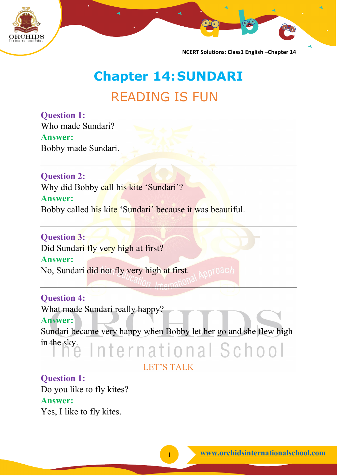

# **Chapter 14:SUNDARI** READING IS FUN

**Question 1:** Who made Sundari? **Answer:** Bobby made Sundari.

**Question 2:** Why did Bobby call his kite 'Sundari'? **Answer:** Bobby called his kite 'Sundari' because it was beautiful.

**Question 3:** Did Sundari fly very high at first? **Answer:** No, Sundari did not fly very high at first.

**Question 4:**

What made Sundari really happy?

#### **Answer:**

Sundari became very happy when Bobby let her go and she flew high in the sky.

LET'S TALK

#### **Question 1:** Do you like to fly kites?

#### **Answer:**

Yes, I like to fly kites.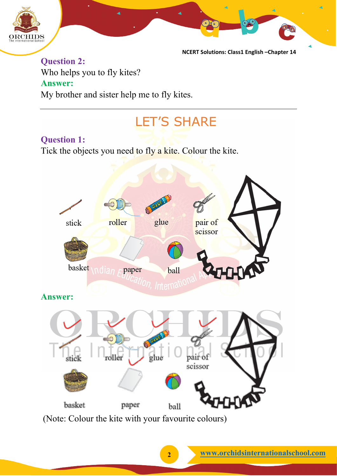

**Question 2:** Who helps you to fly kites? **Answer:** My brother and sister help me to fly kites.

# LET'S SHARE

### **Question 1:**

Tick the objects you need to fly a kite. Colour the kite.



(Note: Colour the kite with your favourite colours)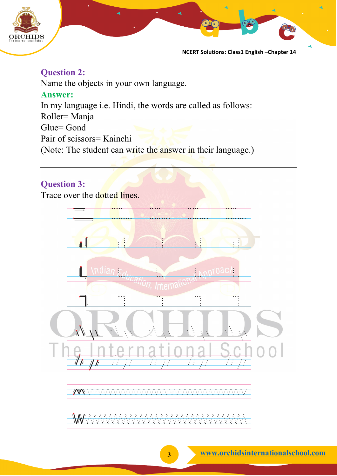

#### **Question 2:**

Name the objects in your own language. **Answer:** In my language i.e. Hindi, the words are called as follows: Roller= Manja Glue= Gond Pair of scissors= Kainchi (Note: The student can write the answer in their language.)

#### **Question 3:**

Trace over the dotted lines.

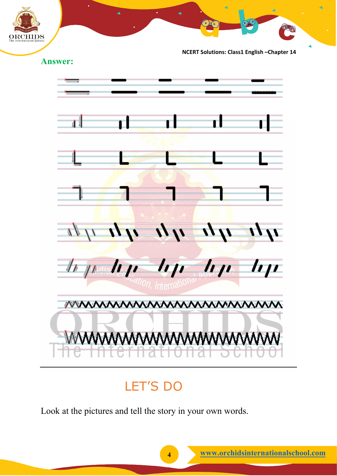



## LET'S DO

Look at the pictures and tell the story in your own words.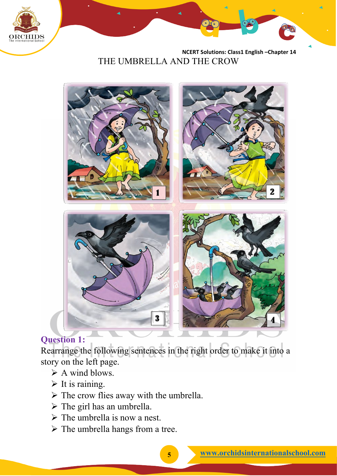

 **NCERT Solutions: Class1 English –Chapter 14**  THE UMBRELLA AND THE CROW



### **Question 1:**

Rearrange the following sentences in the right order to make it into a story on the left page.

- A wind blows.
- $\triangleright$  It is raining.
- $\triangleright$  The crow flies away with the umbrella.
- $\triangleright$  The girl has an umbrella.
- $\triangleright$  The umbrella is now a nest.
- $\triangleright$  The umbrella hangs from a tree.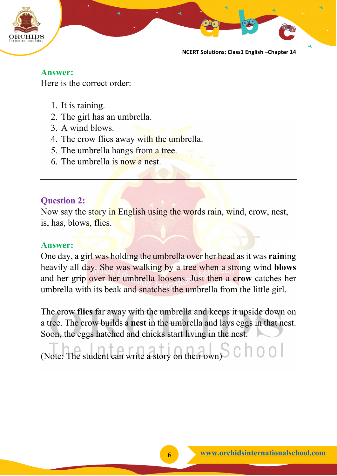

**Answer:** Here is the correct order:

- 1. It is raining.
- 2. The girl has an umbrella.
- 3. A wind blows.
- 4. The crow flies away with the umbrella.
- 5. The umbrella hangs from a tree.
- 6. The umbrella is now a nest.

### **Question 2:**

Now say the story in English using the words rain, wind, crow, nest, is, has, blows, flies.

#### **Answer:**

One day, a girl was holding the umbrella over her head as it was **rain**ing heavily all day. She was walking by a tree when a strong wind **blows** and her grip over her umbrella loosens. Just then a **crow** catches her umbrella with its beak and snatches the umbrella from the little girl.

The crow **flies** far away with the umbrella and keeps it upside down on a tree. The crow builds a **nest** in the umbrella and lays eggs in that nest. Soon, the eggs hatched and chicks start living in the nest.

(Note: The student can write a story on their own) $S \subset \Box$  0 0